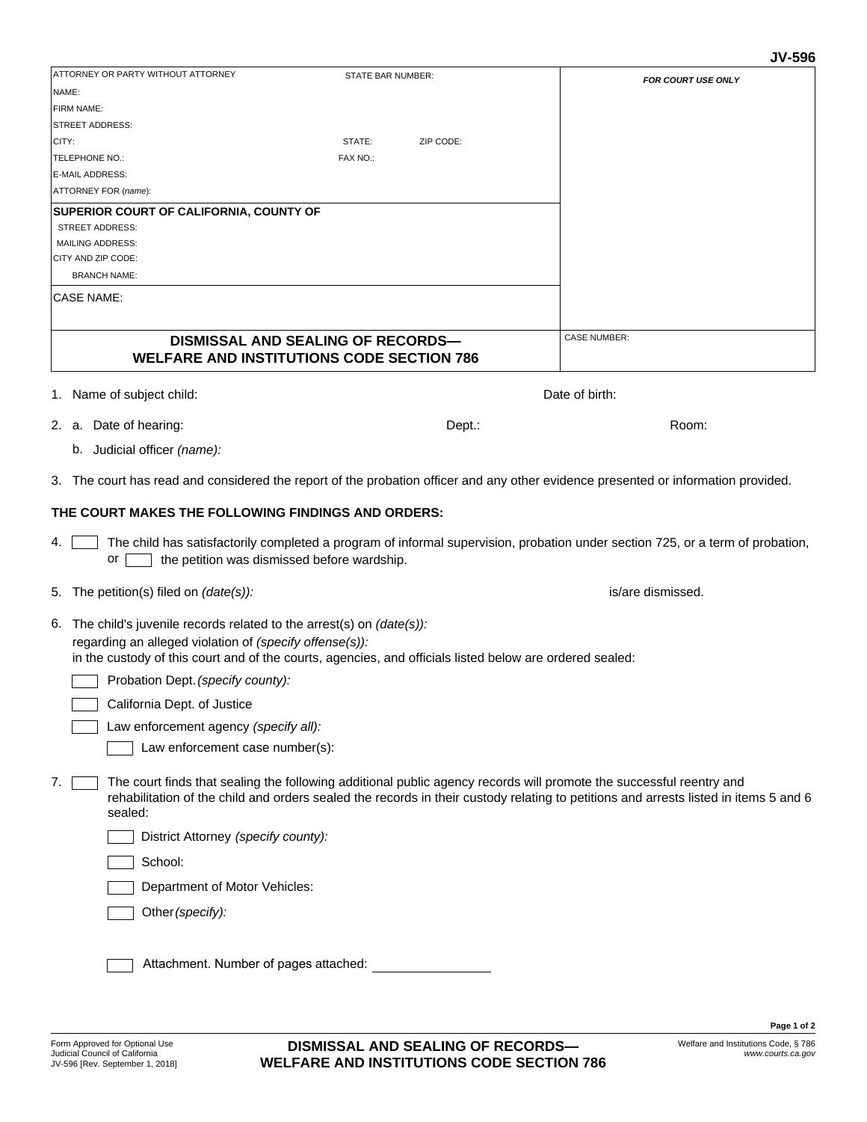| ATTORNEY OR PARTY WITHOUT ATTORNEY                                                                                                                                                                                                                                           | STATE BAR NUMBER:                        | <b>FOR COURT USE ONLY</b>                                                                                                      |  |
|------------------------------------------------------------------------------------------------------------------------------------------------------------------------------------------------------------------------------------------------------------------------------|------------------------------------------|--------------------------------------------------------------------------------------------------------------------------------|--|
| NAME:                                                                                                                                                                                                                                                                        |                                          |                                                                                                                                |  |
| FIRM NAME:                                                                                                                                                                                                                                                                   |                                          |                                                                                                                                |  |
| <b>STREET ADDRESS:</b>                                                                                                                                                                                                                                                       |                                          |                                                                                                                                |  |
| CITY:                                                                                                                                                                                                                                                                        | STATE:<br>ZIP CODE:                      |                                                                                                                                |  |
| TELEPHONE NO.:                                                                                                                                                                                                                                                               | FAX NO.:                                 |                                                                                                                                |  |
| E-MAIL ADDRESS:<br>ATTORNEY FOR (name):                                                                                                                                                                                                                                      |                                          |                                                                                                                                |  |
|                                                                                                                                                                                                                                                                              |                                          |                                                                                                                                |  |
| SUPERIOR COURT OF CALIFORNIA, COUNTY OF<br><b>STREET ADDRESS:</b>                                                                                                                                                                                                            |                                          |                                                                                                                                |  |
| <b>MAILING ADDRESS:</b>                                                                                                                                                                                                                                                      |                                          |                                                                                                                                |  |
| CITY AND ZIP CODE:                                                                                                                                                                                                                                                           |                                          |                                                                                                                                |  |
| <b>BRANCH NAME:</b>                                                                                                                                                                                                                                                          |                                          |                                                                                                                                |  |
| <b>CASE NAME:</b>                                                                                                                                                                                                                                                            |                                          |                                                                                                                                |  |
|                                                                                                                                                                                                                                                                              | <b>DISMISSAL AND SEALING OF RECORDS-</b> | <b>CASE NUMBER:</b>                                                                                                            |  |
| <b>WELFARE AND INSTITUTIONS CODE SECTION 786</b>                                                                                                                                                                                                                             |                                          |                                                                                                                                |  |
|                                                                                                                                                                                                                                                                              |                                          |                                                                                                                                |  |
| 1. Name of subject child:                                                                                                                                                                                                                                                    |                                          | Date of birth:                                                                                                                 |  |
| 2. a. Date of hearing:                                                                                                                                                                                                                                                       | Dept.:                                   | Room:                                                                                                                          |  |
| b. Judicial officer (name):                                                                                                                                                                                                                                                  |                                          |                                                                                                                                |  |
| 3. The court has read and considered the report of the probation officer and any other evidence presented or information provided.                                                                                                                                           |                                          |                                                                                                                                |  |
| THE COURT MAKES THE FOLLOWING FINDINGS AND ORDERS:                                                                                                                                                                                                                           |                                          |                                                                                                                                |  |
| 4.<br>the petition was dismissed before wardship.<br>or                                                                                                                                                                                                                      |                                          | The child has satisfactorily completed a program of informal supervision, probation under section 725, or a term of probation, |  |
| 5. The petition(s) filed on $(data(s))$ :                                                                                                                                                                                                                                    |                                          | is/are dismissed.                                                                                                              |  |
| 6. The child's juvenile records related to the arrest(s) on $(date(s))$ :<br>regarding an alleged violation of (specify offense(s)):                                                                                                                                         |                                          |                                                                                                                                |  |
| in the custody of this court and of the courts, agencies, and officials listed below are ordered sealed:<br>Probation Dept. (specify county):                                                                                                                                |                                          |                                                                                                                                |  |
| California Dept. of Justice                                                                                                                                                                                                                                                  |                                          |                                                                                                                                |  |
| Law enforcement agency (specify all):                                                                                                                                                                                                                                        |                                          |                                                                                                                                |  |
| Law enforcement case number(s):                                                                                                                                                                                                                                              |                                          |                                                                                                                                |  |
| The court finds that sealing the following additional public agency records will promote the successful reentry and<br>7.<br>rehabilitation of the child and orders sealed the records in their custody relating to petitions and arrests listed in items 5 and 6<br>sealed: |                                          |                                                                                                                                |  |
| District Attorney (specify county):                                                                                                                                                                                                                                          |                                          |                                                                                                                                |  |
| School:                                                                                                                                                                                                                                                                      |                                          |                                                                                                                                |  |
| Department of Motor Vehicles:                                                                                                                                                                                                                                                |                                          |                                                                                                                                |  |
| Other (specify):                                                                                                                                                                                                                                                             |                                          |                                                                                                                                |  |
| Attachment. Number of pages attached:                                                                                                                                                                                                                                        |                                          |                                                                                                                                |  |